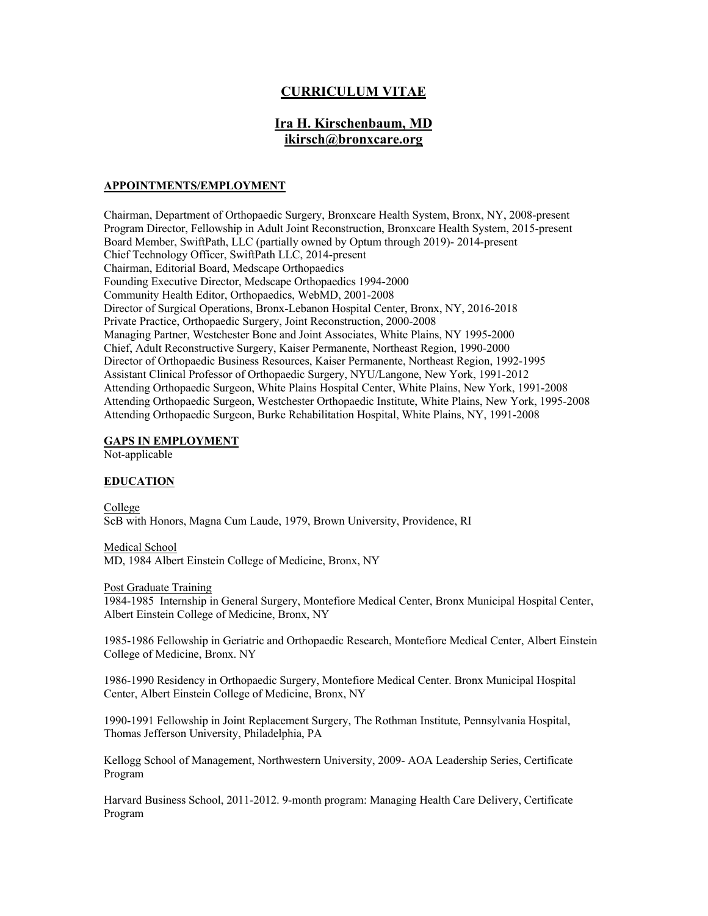# **CURRICULUM VITAE**

# **Ira H. Kirschenbaum, MD ikirsch@bronxcare.org**

#### **APPOINTMENTS/EMPLOYMENT**

Chairman, Department of Orthopaedic Surgery, Bronxcare Health System, Bronx, NY, 2008-present Program Director, Fellowship in Adult Joint Reconstruction, Bronxcare Health System, 2015-present Board Member, SwiftPath, LLC (partially owned by Optum through 2019)- 2014-present Chief Technology Officer, SwiftPath LLC, 2014-present Chairman, Editorial Board, Medscape Orthopaedics Founding Executive Director, Medscape Orthopaedics 1994-2000 Community Health Editor, Orthopaedics, WebMD, 2001-2008 Director of Surgical Operations, Bronx-Lebanon Hospital Center, Bronx, NY, 2016-2018 Private Practice, Orthopaedic Surgery, Joint Reconstruction, 2000-2008 Managing Partner, Westchester Bone and Joint Associates, White Plains, NY 1995-2000 Chief, Adult Reconstructive Surgery, Kaiser Permanente, Northeast Region, 1990-2000 Director of Orthopaedic Business Resources, Kaiser Permanente, Northeast Region, 1992-1995 Assistant Clinical Professor of Orthopaedic Surgery, NYU/Langone, New York, 1991-2012 Attending Orthopaedic Surgeon, White Plains Hospital Center, White Plains, New York, 1991-2008 Attending Orthopaedic Surgeon, Westchester Orthopaedic Institute, White Plains, New York, 1995-2008 Attending Orthopaedic Surgeon, Burke Rehabilitation Hospital, White Plains, NY, 1991-2008

#### **GAPS IN EMPLOYMENT**

Not-applicable

#### **EDUCATION**

College ScB with Honors, Magna Cum Laude, 1979, Brown University, Providence, RI

Medical School MD, 1984 Albert Einstein College of Medicine, Bronx, NY

Post Graduate Training

1984-1985 Internship in General Surgery, Montefiore Medical Center, Bronx Municipal Hospital Center, Albert Einstein College of Medicine, Bronx, NY

1985-1986 Fellowship in Geriatric and Orthopaedic Research, Montefiore Medical Center, Albert Einstein College of Medicine, Bronx. NY

1986-1990 Residency in Orthopaedic Surgery, Montefiore Medical Center. Bronx Municipal Hospital Center, Albert Einstein College of Medicine, Bronx, NY

1990-1991 Fellowship in Joint Replacement Surgery, The Rothman Institute, Pennsylvania Hospital, Thomas Jefferson University, Philadelphia, PA

Kellogg School of Management, Northwestern University, 2009- AOA Leadership Series, Certificate Program

Harvard Business School, 2011-2012. 9-month program: Managing Health Care Delivery, Certificate Program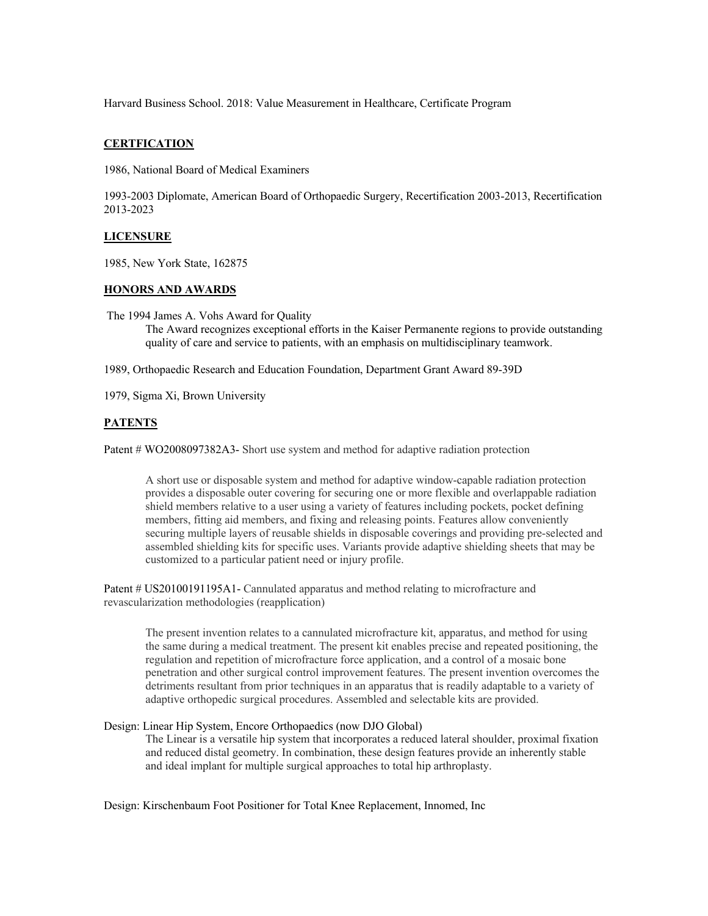Harvard Business School. 2018: Value Measurement in Healthcare, Certificate Program

# **CERTFICATION**

1986, National Board of Medical Examiners

1993-2003 Diplomate, American Board of Orthopaedic Surgery, Recertification 2003-2013, Recertification 2013-2023

#### **LICENSURE**

1985, New York State, 162875

#### **HONORS AND AWARDS**

The 1994 James A. Vohs Award for Quality The Award recognizes exceptional efforts in the Kaiser Permanente regions to provide outstanding quality of care and service to patients, with an emphasis on multidisciplinary teamwork.

1989, Orthopaedic Research and Education Foundation, Department Grant Award 89-39D

1979, Sigma Xi, Brown University

# **PATENTS**

Patent # WO2008097382A3- Short use system and method for adaptive radiation protection

A short use or disposable system and method for adaptive window-capable radiation protection provides a disposable outer covering for securing one or more flexible and overlappable radiation shield members relative to a user using a variety of features including pockets, pocket defining members, fitting aid members, and fixing and releasing points. Features allow conveniently securing multiple layers of reusable shields in disposable coverings and providing pre-selected and assembled shielding kits for specific uses. Variants provide adaptive shielding sheets that may be customized to a particular patient need or injury profile.

Patent # US20100191195A1- Cannulated apparatus and method relating to microfracture and revascularization methodologies (reapplication)

The present invention relates to a cannulated microfracture kit, apparatus, and method for using the same during a medical treatment. The present kit enables precise and repeated positioning, the regulation and repetition of microfracture force application, and a control of a mosaic bone penetration and other surgical control improvement features. The present invention overcomes the detriments resultant from prior techniques in an apparatus that is readily adaptable to a variety of adaptive orthopedic surgical procedures. Assembled and selectable kits are provided.

Design: Linear Hip System, Encore Orthopaedics (now DJO Global)

The Linear is a versatile hip system that incorporates a reduced lateral shoulder, proximal fixation and reduced distal geometry. In combination, these design features provide an inherently stable and ideal implant for multiple surgical approaches to total hip arthroplasty.

Design: Kirschenbaum Foot Positioner for Total Knee Replacement, Innomed, Inc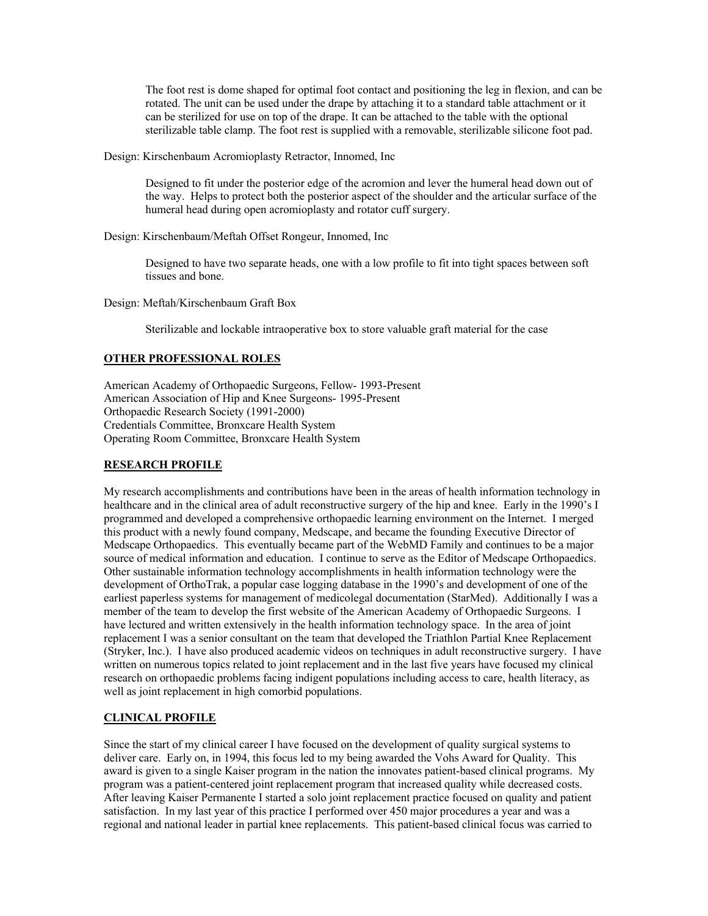The foot rest is dome shaped for optimal foot contact and positioning the leg in flexion, and can be rotated. The unit can be used under the drape by attaching it to a standard table attachment or it can be sterilized for use on top of the drape. It can be attached to the table with the optional sterilizable table clamp. The foot rest is supplied with a removable, sterilizable silicone foot pad.

Design: Kirschenbaum Acromioplasty Retractor, Innomed, Inc

Designed to fit under the posterior edge of the acromion and lever the humeral head down out of the way. Helps to protect both the posterior aspect of the shoulder and the articular surface of the humeral head during open acromioplasty and rotator cuff surgery.

Design: Kirschenbaum/Meftah Offset Rongeur, Innomed, Inc

Designed to have two separate heads, one with a low profile to fit into tight spaces between soft tissues and bone.

Design: Meftah/Kirschenbaum Graft Box

Sterilizable and lockable intraoperative box to store valuable graft material for the case

# **OTHER PROFESSIONAL ROLES**

American Academy of Orthopaedic Surgeons, Fellow- 1993-Present American Association of Hip and Knee Surgeons- 1995-Present Orthopaedic Research Society (1991-2000) Credentials Committee, Bronxcare Health System Operating Room Committee, Bronxcare Health System

# **RESEARCH PROFILE**

My research accomplishments and contributions have been in the areas of health information technology in healthcare and in the clinical area of adult reconstructive surgery of the hip and knee. Early in the 1990's I programmed and developed a comprehensive orthopaedic learning environment on the Internet. I merged this product with a newly found company, Medscape, and became the founding Executive Director of Medscape Orthopaedics. This eventually became part of the WebMD Family and continues to be a major source of medical information and education. I continue to serve as the Editor of Medscape Orthopaedics. Other sustainable information technology accomplishments in health information technology were the development of OrthoTrak, a popular case logging database in the 1990's and development of one of the earliest paperless systems for management of medicolegal documentation (StarMed). Additionally I was a member of the team to develop the first website of the American Academy of Orthopaedic Surgeons. I have lectured and written extensively in the health information technology space. In the area of joint replacement I was a senior consultant on the team that developed the Triathlon Partial Knee Replacement (Stryker, Inc.). I have also produced academic videos on techniques in adult reconstructive surgery. I have written on numerous topics related to joint replacement and in the last five years have focused my clinical research on orthopaedic problems facing indigent populations including access to care, health literacy, as well as joint replacement in high comorbid populations.

# **CLINICAL PROFILE**

Since the start of my clinical career I have focused on the development of quality surgical systems to deliver care. Early on, in 1994, this focus led to my being awarded the Vohs Award for Quality. This award is given to a single Kaiser program in the nation the innovates patient-based clinical programs. My program was a patient-centered joint replacement program that increased quality while decreased costs. After leaving Kaiser Permanente I started a solo joint replacement practice focused on quality and patient satisfaction. In my last year of this practice I performed over 450 major procedures a year and was a regional and national leader in partial knee replacements. This patient-based clinical focus was carried to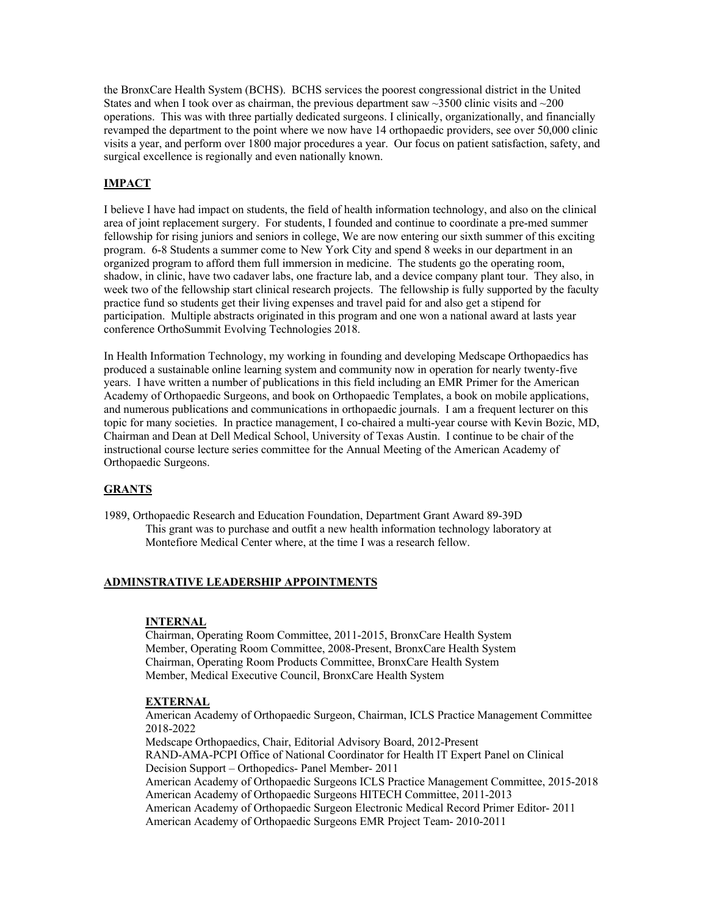the BronxCare Health System (BCHS). BCHS services the poorest congressional district in the United States and when I took over as chairman, the previous department saw  $\sim$ 3500 clinic visits and  $\sim$ 200 operations. This was with three partially dedicated surgeons. I clinically, organizationally, and financially revamped the department to the point where we now have 14 orthopaedic providers, see over 50,000 clinic visits a year, and perform over 1800 major procedures a year. Our focus on patient satisfaction, safety, and surgical excellence is regionally and even nationally known.

# **IMPACT**

I believe I have had impact on students, the field of health information technology, and also on the clinical area of joint replacement surgery. For students, I founded and continue to coordinate a pre-med summer fellowship for rising juniors and seniors in college, We are now entering our sixth summer of this exciting program.  $6-8$  Students a summer come to New York City and spend 8 weeks in our department in an organized program to afford them full immersion in medicine. The students go the operating room, shadow, in clinic, have two cadaver labs, one fracture lab, and a device company plant tour. They also, in week two of the fellowship start clinical research projects. The fellowship is fully supported by the faculty practice fund so students get their living expenses and travel paid for and also get a stipend for participation. Multiple abstracts originated in this program and one won a national award at lasts year conference OrthoSummit Evolving Technologies 2018.

In Health Information Technology, my working in founding and developing Medscape Orthopaedics has produced a sustainable online learning system and community now in operation for nearly twenty-five years. I have written a number of publications in this field including an EMR Primer for the American Academy of Orthopaedic Surgeons, and book on Orthopaedic Templates, a book on mobile applications, and numerous publications and communications in orthopaedic journals. I am a frequent lecturer on this topic for many societies. In practice management, I co-chaired a multi-year course with Kevin Bozic, MD, Chairman and Dean at Dell Medical School, University of Texas Austin. I continue to be chair of the instructional course lecture series committee for the Annual Meeting of the American Academy of Orthopaedic Surgeons.

# **GRANTS**

1989, Orthopaedic Research and Education Foundation, Department Grant Award 89-39D This grant was to purchase and outfit a new health information technology laboratory at Montefiore Medical Center where, at the time I was a research fellow.

#### **ADMINSTRATIVE LEADERSHIP APPOINTMENTS**

#### **INTERNAL**

Chairman, Operating Room Committee, 2011-2015, BronxCare Health System Member, Operating Room Committee, 2008-Present, BronxCare Health System Chairman, Operating Room Products Committee, BronxCare Health System Member, Medical Executive Council, BronxCare Health System

#### **EXTERNAL**

American Academy of Orthopaedic Surgeon, Chairman, ICLS Practice Management Committee 2018-2022

Medscape Orthopaedics, Chair, Editorial Advisory Board, 2012-Present RAND-AMA-PCPI Office of National Coordinator for Health IT Expert Panel on Clinical Decision Support – Orthopedics- Panel Member- 2011 American Academy of Orthopaedic Surgeons ICLS Practice Management Committee, 2015-2018 American Academy of Orthopaedic Surgeons HITECH Committee, 2011-2013 American Academy of Orthopaedic Surgeon Electronic Medical Record Primer Editor- 2011 American Academy of Orthopaedic Surgeons EMR Project Team- 2010-2011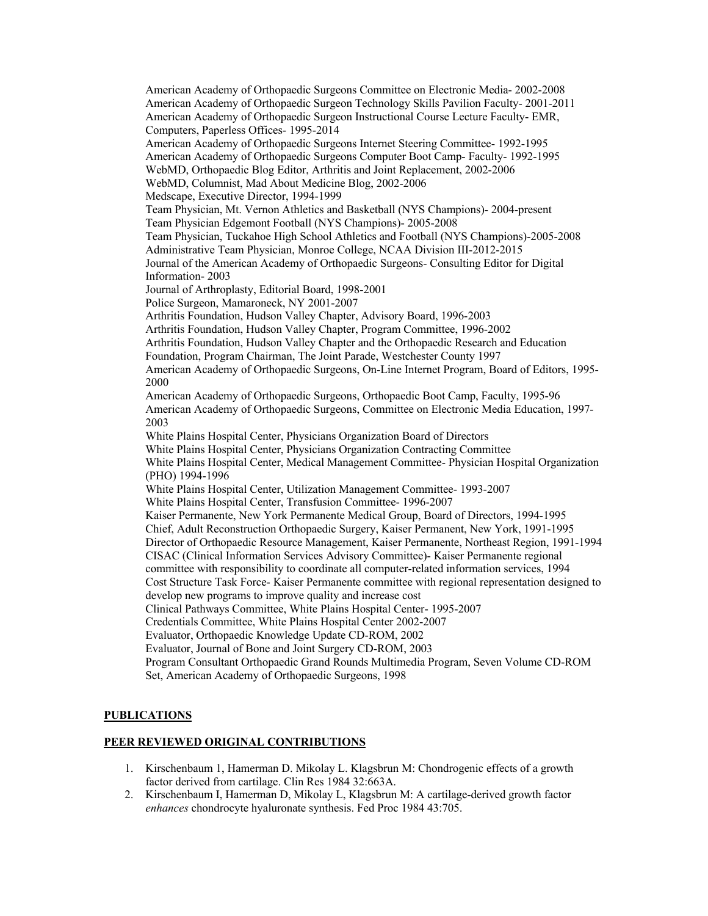American Academy of Orthopaedic Surgeons Committee on Electronic Media- 2002-2008 American Academy of Orthopaedic Surgeon Technology Skills Pavilion Faculty- 2001-2011 American Academy of Orthopaedic Surgeon Instructional Course Lecture Faculty- EMR, Computers, Paperless Offices- 1995-2014 American Academy of Orthopaedic Surgeons Internet Steering Committee- 1992-1995 American Academy of Orthopaedic Surgeons Computer Boot Camp- Faculty- 1992-1995 WebMD, Orthopaedic Blog Editor, Arthritis and Joint Replacement, 2002-2006 WebMD, Columnist, Mad About Medicine Blog, 2002-2006 Medscape, Executive Director, 1994-1999 Team Physician, Mt. Vernon Athletics and Basketball (NYS Champions)- 2004-present Team Physician Edgemont Football (NYS Champions)- 2005-2008 Team Physician, Tuckahoe High School Athletics and Football (NYS Champions)-2005-2008 Administrative Team Physician, Monroe College, NCAA Division III-2012-2015 Journal of the American Academy of Orthopaedic Surgeons- Consulting Editor for Digital Information- 2003 Journal of Arthroplasty, Editorial Board, 1998-2001 Police Surgeon, Mamaroneck, NY 2001-2007 Arthritis Foundation, Hudson Valley Chapter, Advisory Board, 1996-2003 Arthritis Foundation, Hudson Valley Chapter, Program Committee, 1996-2002 Arthritis Foundation, Hudson Valley Chapter and the Orthopaedic Research and Education Foundation, Program Chairman, The Joint Parade, Westchester County 1997 American Academy of Orthopaedic Surgeons, On-Line Internet Program, Board of Editors, 1995- 2000 American Academy of Orthopaedic Surgeons, Orthopaedic Boot Camp, Faculty, 1995-96 American Academy of Orthopaedic Surgeons, Committee on Electronic Media Education, 1997- 2003 White Plains Hospital Center, Physicians Organization Board of Directors White Plains Hospital Center, Physicians Organization Contracting Committee White Plains Hospital Center, Medical Management Committee- Physician Hospital Organization (PHO) 1994-1996 White Plains Hospital Center, Utilization Management Committee- 1993-2007 White Plains Hospital Center, Transfusion Committee- 1996-2007 Kaiser Permanente, New York Permanente Medical Group, Board of Directors, 1994-1995 Chief, Adult Reconstruction Orthopaedic Surgery, Kaiser Permanent, New York, 1991-1995 Director of Orthopaedic Resource Management, Kaiser Permanente, Northeast Region, 1991-1994 CISAC (Clinical Information Services Advisory Committee)- Kaiser Permanente regional committee with responsibility to coordinate all computer-related information services, 1994 Cost Structure Task Force- Kaiser Permanente committee with regional representation designed to develop new programs to improve quality and increase cost Clinical Pathways Committee, White Plains Hospital Center- 1995-2007 Credentials Committee, White Plains Hospital Center 2002-2007 Evaluator, Orthopaedic Knowledge Update CD-ROM, 2002 Evaluator, Journal of Bone and Joint Surgery CD-ROM, 2003 Program Consultant Orthopaedic Grand Rounds Multimedia Program, Seven Volume CD-ROM Set, American Academy of Orthopaedic Surgeons, 1998

# **PUBLICATIONS**

#### **PEER REVIEWED ORIGINAL CONTRIBUTIONS**

- 1. Kirschenbaum 1, Hamerman D. Mikolay L. Klagsbrun M: Chondrogenic effects of a growth factor derived from cartilage. Clin Res 1984 32:663A.
- 2. Kirschenbaum I, Hamerman D, Mikolay L, Klagsbrun M: A cartilage-derived growth factor *enhances* chondrocyte hyaluronate synthesis. Fed Proc 1984 43:705.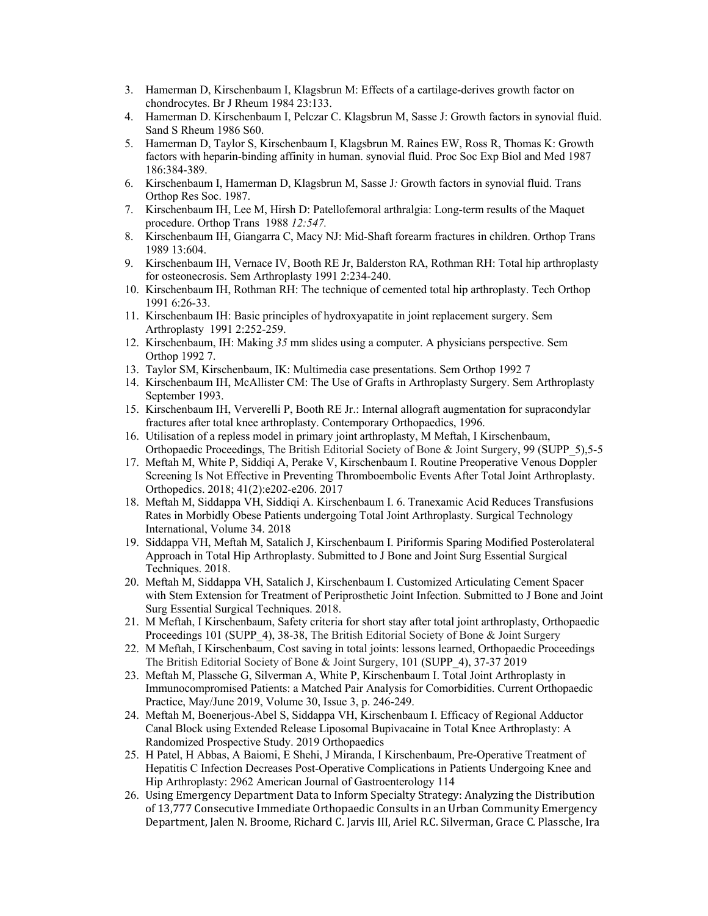- 3. Hamerman D, Kirschenbaum I, Klagsbrun M: Effects of a cartilage-derives growth factor on chondrocytes. Br J Rheum 1984 23:133.
- 4. Hamerman D. Kirschenbaum I, Pelczar C. Klagsbrun M, Sasse J: Growth factors in synovial fluid. Sand S Rheum 1986 S60.
- 5. Hamerman D, Taylor S, Kirschenbaum I, Klagsbrun M. Raines EW, Ross R, Thomas K: Growth factors with heparin-binding affinity in human. synovial fluid. Proc Soc Exp Biol and Med 1987 186:384-389.
- 6. Kirschenbaum I, Hamerman D, Klagsbrun M, Sasse J*:* Growth factors in synovial fluid. Trans Orthop Res Soc. 1987.
- 7. Kirschenbaum IH, Lee M, Hirsh D: Patellofemoral arthralgia: Long-term results of the Maquet procedure. Orthop Trans 1988 *12:547.*
- 8. Kirschenbaum IH, Giangarra C, Macy NJ: Mid-Shaft forearm fractures in children. Orthop Trans 1989 13:604.
- 9. Kirschenbaum IH, Vernace IV, Booth RE Jr, Balderston RA, Rothman RH: Total hip arthroplasty for osteonecrosis. Sem Arthroplasty 1991 2:234-240.
- 10. Kirschenbaum IH, Rothman RH: The technique of cemented total hip arthroplasty. Tech Orthop 1991 6:26-33.
- 11. Kirschenbaum IH: Basic principles of hydroxyapatite in joint replacement surgery. Sem Arthroplasty 1991 2:252-259.
- 12. Kirschenbaum, IH: Making *35* mm slides using a computer. A physicians perspective. Sem Orthop 1992 7.
- 13. Taylor SM, Kirschenbaum, IK: Multimedia case presentations. Sem Orthop 1992 7
- 14. Kirschenbaum IH, McAllister CM: The Use of Grafts in Arthroplasty Surgery. Sem Arthroplasty September 1993.
- 15. Kirschenbaum IH, Ververelli P, Booth RE Jr.: Internal allograft augmentation for supracondylar fractures after total knee arthroplasty. Contemporary Orthopaedics, 1996.
- 16. Utilisation of a repless model in primary joint arthroplasty, M Meftah, I Kirschenbaum, Orthopaedic Proceedings, The British Editorial Society of Bone & Joint Surgery, 99 (SUPP\_5),5-5
- 17. Meftah M, White P, Siddiqi A, Perake V, Kirschenbaum I. Routine Preoperative Venous Doppler Screening Is Not Effective in Preventing Thromboembolic Events After Total Joint Arthroplasty. Orthopedics. 2018; 41(2):e202-e206. 2017
- 18. Meftah M, Siddappa VH, Siddiqi A. Kirschenbaum I. 6. Tranexamic Acid Reduces Transfusions Rates in Morbidly Obese Patients undergoing Total Joint Arthroplasty. Surgical Technology International, Volume 34. 2018
- 19. Siddappa VH, Meftah M, Satalich J, Kirschenbaum I. Piriformis Sparing Modified Posterolateral Approach in Total Hip Arthroplasty. Submitted to J Bone and Joint Surg Essential Surgical Techniques. 2018.
- 20. Meftah M, Siddappa VH, Satalich J, Kirschenbaum I. Customized Articulating Cement Spacer with Stem Extension for Treatment of Periprosthetic Joint Infection. Submitted to J Bone and Joint Surg Essential Surgical Techniques. 2018.
- 21. M Meftah, I Kirschenbaum, Safety criteria for short stay after total joint arthroplasty, Orthopaedic Proceedings 101 (SUPP\_4), 38-38, The British Editorial Society of Bone & Joint Surgery
- 22. M Meftah, I Kirschenbaum, Cost saving in total joints: lessons learned, Orthopaedic Proceedings The British Editorial Society of Bone & Joint Surgery, 101 (SUPP\_4), 37-37 2019
- 23. Meftah M, Plassche G, Silverman A, White P, Kirschenbaum I. Total Joint Arthroplasty in Immunocompromised Patients: a Matched Pair Analysis for Comorbidities. Current Orthopaedic Practice, May/June 2019, Volume 30, Issue 3, p. 246-249.
- 24. Meftah M, Boenerjous-Abel S, Siddappa VH, Kirschenbaum I. Efficacy of Regional Adductor Canal Block using Extended Release Liposomal Bupivacaine in Total Knee Arthroplasty: A Randomized Prospective Study. 2019 Orthopaedics
- 25. H Patel, H Abbas, A Baiomi, E Shehi, J Miranda, I Kirschenbaum, Pre-Operative Treatment of Hepatitis C Infection Decreases Post-Operative Complications in Patients Undergoing Knee and Hip Arthroplasty: 2962 American Journal of Gastroenterology 114
- 26. Using Emergency Department Data to Inform Specialty Strategy: Analyzing the Distribution of 13,777 Consecutive Immediate Orthopaedic Consults in an Urban Community Emergency Department, Jalen N. Broome, Richard C. Jarvis III, Ariel R.C. Silverman, Grace C. Plassche, Ira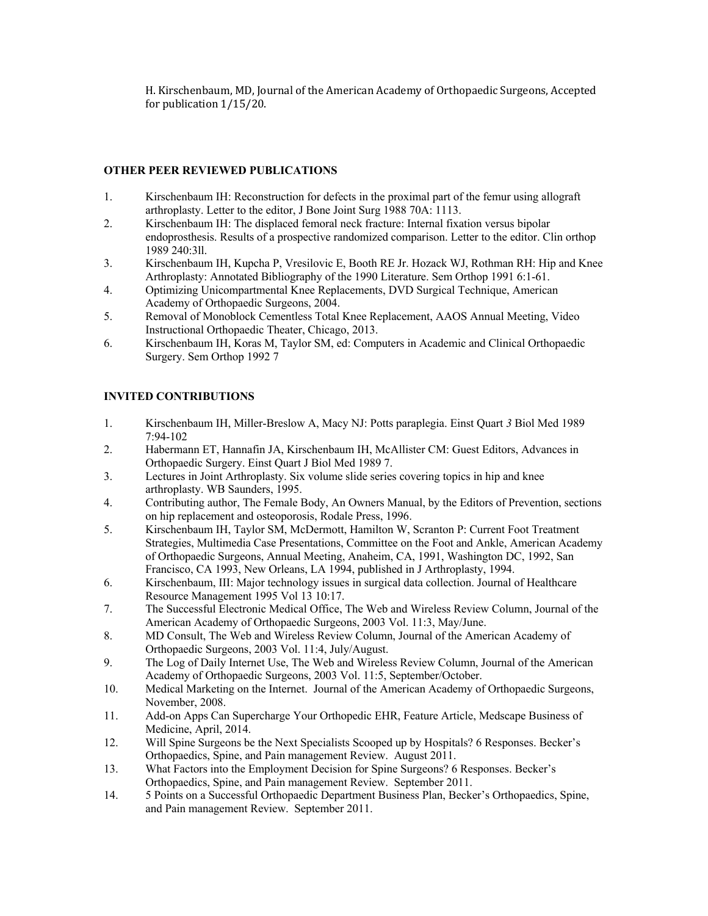H. Kirschenbaum, MD, Journal of the American Academy of Orthopaedic Surgeons, Accepted for publication  $1/15/20$ .

# **OTHER PEER REVIEWED PUBLICATIONS**

- 1. Kirschenbaum IH: Reconstruction for defects in the proximal part of the femur using allograft arthroplasty. Letter to the editor, J Bone Joint Surg 1988 70A: 1113.
- 2. Kirschenbaum IH: The displaced femoral neck fracture: Internal fixation versus bipolar endoprosthesis. Results of a prospective randomized comparison. Letter to the editor. Clin orthop 1989 240:3ll.
- 3. Kirschenbaum IH, Kupcha P, Vresilovic E, Booth RE Jr. Hozack WJ, Rothman RH: Hip and Knee Arthroplasty: Annotated Bibliography of the 1990 Literature. Sem Orthop 1991 6:1-61.
- 4. Optimizing Unicompartmental Knee Replacements, DVD Surgical Technique, American Academy of Orthopaedic Surgeons, 2004.
- 5. Removal of Monoblock Cementless Total Knee Replacement, AAOS Annual Meeting, Video Instructional Orthopaedic Theater, Chicago, 2013.
- 6. Kirschenbaum IH, Koras M, Taylor SM, ed: Computers in Academic and Clinical Orthopaedic Surgery. Sem Orthop 1992 7

# **INVITED CONTRIBUTIONS**

- 1. Kirschenbaum IH, Miller-Breslow A, Macy NJ: Potts paraplegia. Einst Quart *3* Biol Med 1989 7:94-102
- 2. Habermann ET, Hannafin JA, Kirschenbaum IH, McAllister CM: Guest Editors, Advances in Orthopaedic Surgery. Einst Quart J Biol Med 1989 7.
- 3. Lectures in Joint Arthroplasty. Six volume slide series covering topics in hip and knee arthroplasty. WB Saunders, 1995.
- 4. Contributing author, The Female Body, An Owners Manual, by the Editors of Prevention, sections on hip replacement and osteoporosis, Rodale Press, 1996.
- 5. Kirschenbaum IH, Taylor SM, McDermott, Hamilton W, Scranton P: Current Foot Treatment Strategies, Multimedia Case Presentations, Committee on the Foot and Ankle, American Academy of Orthopaedic Surgeons, Annual Meeting, Anaheim, CA, 1991, Washington DC, 1992, San Francisco, CA 1993, New Orleans, LA 1994, published in J Arthroplasty, 1994.
- 6. Kirschenbaum, III: Major technology issues in surgical data collection. Journal of Healthcare Resource Management 1995 Vol 13 10:17.
- 7. The Successful Electronic Medical Office, The Web and Wireless Review Column, Journal of the American Academy of Orthopaedic Surgeons, 2003 Vol. 11:3, May/June.
- 8. MD Consult, The Web and Wireless Review Column, Journal of the American Academy of Orthopaedic Surgeons, 2003 Vol. 11:4, July/August.
- 9. The Log of Daily Internet Use, The Web and Wireless Review Column, Journal of the American Academy of Orthopaedic Surgeons, 2003 Vol. 11:5, September/October.
- 10. Medical Marketing on the Internet. Journal of the American Academy of Orthopaedic Surgeons, November, 2008.
- 11. Add-on Apps Can Supercharge Your Orthopedic EHR, Feature Article, Medscape Business of Medicine, April, 2014.
- 12. Will Spine Surgeons be the Next Specialists Scooped up by Hospitals? 6 Responses. Becker's Orthopaedics, Spine, and Pain management Review. August 2011.
- 13. What Factors into the Employment Decision for Spine Surgeons? 6 Responses. Becker's Orthopaedics, Spine, and Pain management Review. September 2011.
- 14. 5 Points on a Successful Orthopaedic Department Business Plan, Becker's Orthopaedics, Spine, and Pain management Review. September 2011.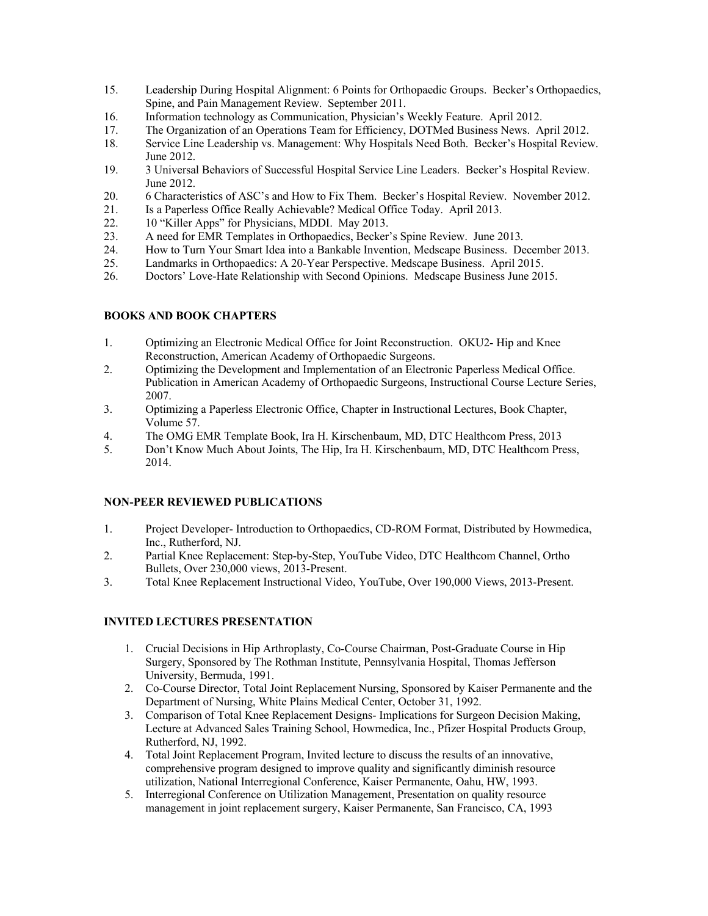- 15. Leadership During Hospital Alignment: 6 Points for Orthopaedic Groups. Becker's Orthopaedics, Spine, and Pain Management Review. September 2011.
- 16. Information technology as Communication, Physician's Weekly Feature. April 2012.
- 17. The Organization of an Operations Team for Efficiency, DOTMed Business News. April 2012.
- 18. Service Line Leadership vs. Management: Why Hospitals Need Both. Becker's Hospital Review. June 2012.
- 19. 3 Universal Behaviors of Successful Hospital Service Line Leaders. Becker's Hospital Review. June 2012.
- 20. 6 Characteristics of ASC's and How to Fix Them. Becker's Hospital Review. November 2012.
- 21. Is a Paperless Office Really Achievable? Medical Office Today. April 2013.
- 22. 10 "Killer Apps" for Physicians, MDDI. May 2013.
- 23. A need for EMR Templates in Orthopaedics, Becker's Spine Review. June 2013.
- 24. How to Turn Your Smart Idea into a Bankable Invention, Medscape Business. December 2013.
- 25. Landmarks in Orthopaedics: A 20-Year Perspective. Medscape Business. April 2015.
- 26. Doctors' Love-Hate Relationship with Second Opinions. Medscape Business June 2015.

# **BOOKS AND BOOK CHAPTERS**

- 1. Optimizing an Electronic Medical Office for Joint Reconstruction. OKU2- Hip and Knee Reconstruction, American Academy of Orthopaedic Surgeons.
- 2. Optimizing the Development and Implementation of an Electronic Paperless Medical Office. Publication in American Academy of Orthopaedic Surgeons, Instructional Course Lecture Series, 2007.
- 3. Optimizing a Paperless Electronic Office, Chapter in Instructional Lectures, Book Chapter, Volume 57.
- 4. The OMG EMR Template Book, Ira H. Kirschenbaum, MD, DTC Healthcom Press, 2013
- 5. Don't Know Much About Joints, The Hip, Ira H. Kirschenbaum, MD, DTC Healthcom Press, 2014.

# **NON-PEER REVIEWED PUBLICATIONS**

- 1. Project Developer- Introduction to Orthopaedics, CD-ROM Format, Distributed by Howmedica, Inc., Rutherford, NJ.
- 2. Partial Knee Replacement: Step-by-Step, YouTube Video, DTC Healthcom Channel, Ortho Bullets, Over 230,000 views, 2013-Present.
- 3. Total Knee Replacement Instructional Video, YouTube, Over 190,000 Views, 2013-Present.

# **INVITED LECTURES PRESENTATION**

- 1. Crucial Decisions in Hip Arthroplasty, Co-Course Chairman, Post-Graduate Course in Hip Surgery, Sponsored by The Rothman Institute, Pennsylvania Hospital, Thomas Jefferson University, Bermuda, 1991.
- 2. Co-Course Director, Total Joint Replacement Nursing, Sponsored by Kaiser Permanente and the Department of Nursing, White Plains Medical Center, October 31, 1992.
- 3. Comparison of Total Knee Replacement Designs- Implications for Surgeon Decision Making, Lecture at Advanced Sales Training School, Howmedica, Inc., Pfizer Hospital Products Group, Rutherford, NJ, 1992.
- 4. Total Joint Replacement Program, Invited lecture to discuss the results of an innovative, comprehensive program designed to improve quality and significantly diminish resource utilization, National Interregional Conference, Kaiser Permanente, Oahu, HW, 1993.
- 5. Interregional Conference on Utilization Management, Presentation on quality resource management in joint replacement surgery, Kaiser Permanente, San Francisco, CA, 1993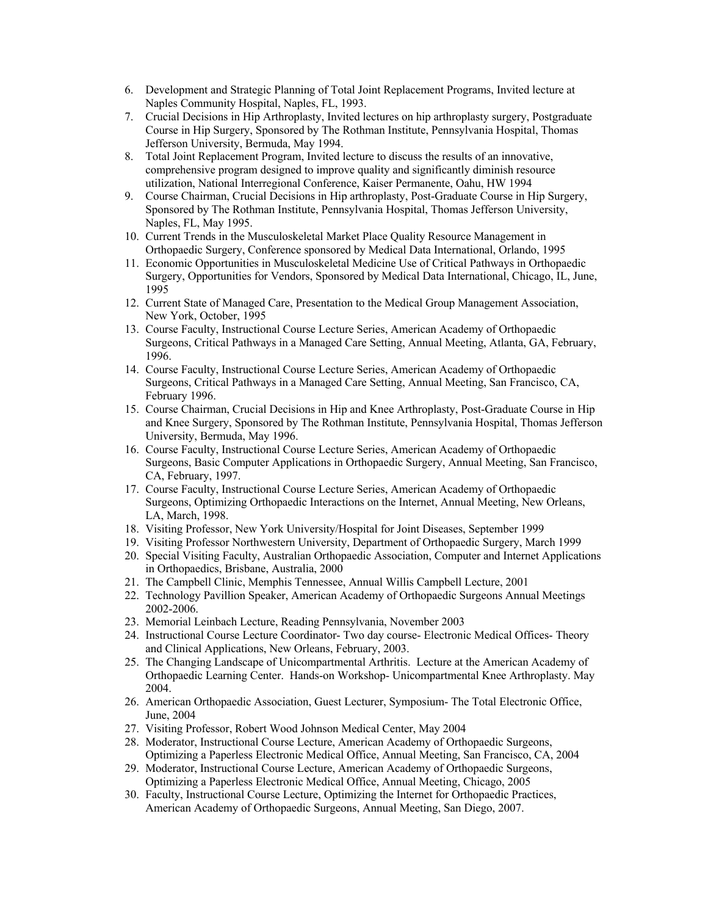- 6. Development and Strategic Planning of Total Joint Replacement Programs, Invited lecture at Naples Community Hospital, Naples, FL, 1993.
- 7. Crucial Decisions in Hip Arthroplasty, Invited lectures on hip arthroplasty surgery, Postgraduate Course in Hip Surgery, Sponsored by The Rothman Institute, Pennsylvania Hospital, Thomas Jefferson University, Bermuda, May 1994.
- 8. Total Joint Replacement Program, Invited lecture to discuss the results of an innovative, comprehensive program designed to improve quality and significantly diminish resource utilization, National Interregional Conference, Kaiser Permanente, Oahu, HW 1994
- 9. Course Chairman, Crucial Decisions in Hip arthroplasty, Post-Graduate Course in Hip Surgery, Sponsored by The Rothman Institute, Pennsylvania Hospital, Thomas Jefferson University, Naples, FL, May 1995.
- 10. Current Trends in the Musculoskeletal Market Place Quality Resource Management in Orthopaedic Surgery, Conference sponsored by Medical Data International, Orlando, 1995
- 11. Economic Opportunities in Musculoskeletal Medicine Use of Critical Pathways in Orthopaedic Surgery, Opportunities for Vendors, Sponsored by Medical Data International, Chicago, IL, June, 1995
- 12. Current State of Managed Care, Presentation to the Medical Group Management Association, New York, October, 1995
- 13. Course Faculty, Instructional Course Lecture Series, American Academy of Orthopaedic Surgeons, Critical Pathways in a Managed Care Setting, Annual Meeting, Atlanta, GA, February, 1996.
- 14. Course Faculty, Instructional Course Lecture Series, American Academy of Orthopaedic Surgeons, Critical Pathways in a Managed Care Setting, Annual Meeting, San Francisco, CA, February 1996.
- 15. Course Chairman, Crucial Decisions in Hip and Knee Arthroplasty, Post-Graduate Course in Hip and Knee Surgery, Sponsored by The Rothman Institute, Pennsylvania Hospital, Thomas Jefferson University, Bermuda, May 1996.
- 16. Course Faculty, Instructional Course Lecture Series, American Academy of Orthopaedic Surgeons, Basic Computer Applications in Orthopaedic Surgery, Annual Meeting, San Francisco, CA, February, 1997.
- 17. Course Faculty, Instructional Course Lecture Series, American Academy of Orthopaedic Surgeons, Optimizing Orthopaedic Interactions on the Internet, Annual Meeting, New Orleans, LA, March, 1998.
- 18. Visiting Professor, New York University/Hospital for Joint Diseases, September 1999
- 19. Visiting Professor Northwestern University, Department of Orthopaedic Surgery, March 1999
- 20. Special Visiting Faculty, Australian Orthopaedic Association, Computer and Internet Applications in Orthopaedics, Brisbane, Australia, 2000
- 21. The Campbell Clinic, Memphis Tennessee, Annual Willis Campbell Lecture, 2001
- 22. Technology Pavillion Speaker, American Academy of Orthopaedic Surgeons Annual Meetings 2002-2006.
- 23. Memorial Leinbach Lecture, Reading Pennsylvania, November 2003
- 24. Instructional Course Lecture Coordinator- Two day course- Electronic Medical Offices- Theory and Clinical Applications, New Orleans, February, 2003.
- 25. The Changing Landscape of Unicompartmental Arthritis. Lecture at the American Academy of Orthopaedic Learning Center. Hands-on Workshop- Unicompartmental Knee Arthroplasty. May 2004.
- 26. American Orthopaedic Association, Guest Lecturer, Symposium- The Total Electronic Office, June, 2004
- 27. Visiting Professor, Robert Wood Johnson Medical Center, May 2004
- 28. Moderator, Instructional Course Lecture, American Academy of Orthopaedic Surgeons, Optimizing a Paperless Electronic Medical Office, Annual Meeting, San Francisco, CA, 2004
- 29. Moderator, Instructional Course Lecture, American Academy of Orthopaedic Surgeons, Optimizing a Paperless Electronic Medical Office, Annual Meeting, Chicago, 2005
- 30. Faculty, Instructional Course Lecture, Optimizing the Internet for Orthopaedic Practices, American Academy of Orthopaedic Surgeons, Annual Meeting, San Diego, 2007.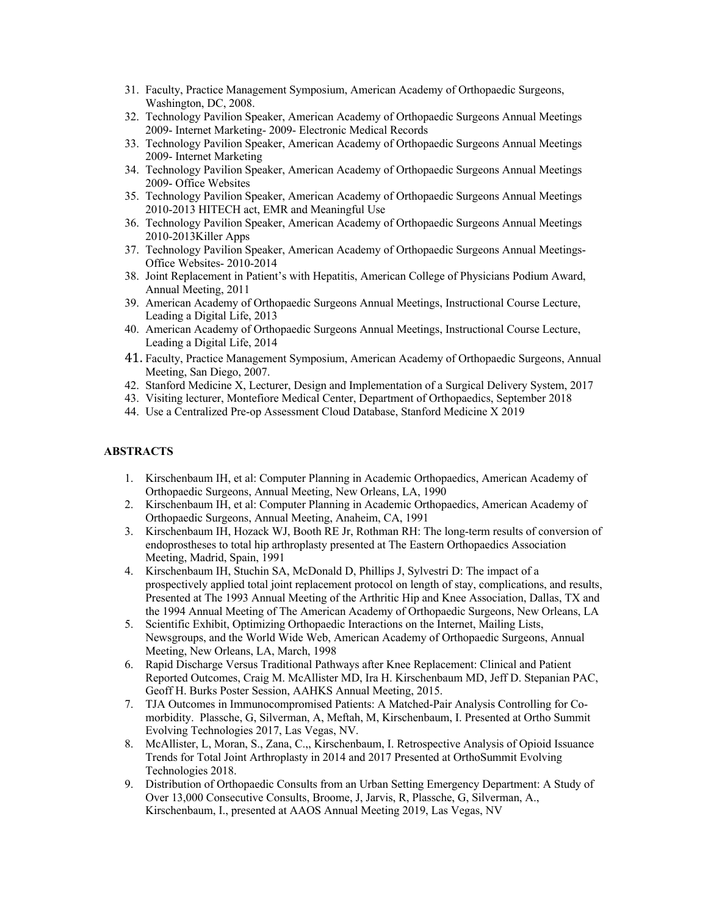- 31. Faculty, Practice Management Symposium, American Academy of Orthopaedic Surgeons, Washington, DC, 2008.
- 32. Technology Pavilion Speaker, American Academy of Orthopaedic Surgeons Annual Meetings 2009- Internet Marketing- 2009- Electronic Medical Records
- 33. Technology Pavilion Speaker, American Academy of Orthopaedic Surgeons Annual Meetings 2009- Internet Marketing
- 34. Technology Pavilion Speaker, American Academy of Orthopaedic Surgeons Annual Meetings 2009- Office Websites
- 35. Technology Pavilion Speaker, American Academy of Orthopaedic Surgeons Annual Meetings 2010-2013 HITECH act, EMR and Meaningful Use
- 36. Technology Pavilion Speaker, American Academy of Orthopaedic Surgeons Annual Meetings 2010-2013Killer Apps
- 37. Technology Pavilion Speaker, American Academy of Orthopaedic Surgeons Annual Meetings-Office Websites- 2010-2014
- 38. Joint Replacement in Patient's with Hepatitis, American College of Physicians Podium Award, Annual Meeting, 2011
- 39. American Academy of Orthopaedic Surgeons Annual Meetings, Instructional Course Lecture, Leading a Digital Life, 2013
- 40. American Academy of Orthopaedic Surgeons Annual Meetings, Instructional Course Lecture, Leading a Digital Life, 2014
- 41. Faculty, Practice Management Symposium, American Academy of Orthopaedic Surgeons, Annual Meeting, San Diego, 2007.
- 42. Stanford Medicine X, Lecturer, Design and Implementation of a Surgical Delivery System, 2017
- 43. Visiting lecturer, Montefiore Medical Center, Department of Orthopaedics, September 2018
- 44. Use a Centralized Pre-op Assessment Cloud Database, Stanford Medicine X 2019

#### **ABSTRACTS**

- 1. Kirschenbaum IH, et al: Computer Planning in Academic Orthopaedics, American Academy of Orthopaedic Surgeons, Annual Meeting, New Orleans, LA, 1990
- 2. Kirschenbaum IH, et al: Computer Planning in Academic Orthopaedics, American Academy of Orthopaedic Surgeons, Annual Meeting, Anaheim, CA, 1991
- 3. Kirschenbaum IH, Hozack WJ, Booth RE Jr, Rothman RH: The long-term results of conversion of endoprostheses to total hip arthroplasty presented at The Eastern Orthopaedics Association Meeting, Madrid, Spain, 1991
- 4. Kirschenbaum IH, Stuchin SA, McDonald D, Phillips J, Sylvestri D: The impact of a prospectively applied total joint replacement protocol on length of stay, complications, and results, Presented at The 1993 Annual Meeting of the Arthritic Hip and Knee Association, Dallas, TX and the 1994 Annual Meeting of The American Academy of Orthopaedic Surgeons, New Orleans, LA
- 5. Scientific Exhibit, Optimizing Orthopaedic Interactions on the Internet, Mailing Lists, Newsgroups, and the World Wide Web, American Academy of Orthopaedic Surgeons, Annual Meeting, New Orleans, LA, March, 1998
- 6. Rapid Discharge Versus Traditional Pathways after Knee Replacement: Clinical and Patient Reported Outcomes, Craig M. McAllister MD, Ira H. Kirschenbaum MD, Jeff D. Stepanian PAC, Geoff H. Burks Poster Session, AAHKS Annual Meeting, 2015.
- 7. TJA Outcomes in Immunocompromised Patients: A Matched-Pair Analysis Controlling for Comorbidity. Plassche, G, Silverman, A, Meftah, M, Kirschenbaum, I. Presented at Ortho Summit Evolving Technologies 2017, Las Vegas, NV.
- 8. McAllister, L, Moran, S., Zana, C.,, Kirschenbaum, I. Retrospective Analysis of Opioid Issuance Trends for Total Joint Arthroplasty in 2014 and 2017 Presented at OrthoSummit Evolving Technologies 2018.
- 9. Distribution of Orthopaedic Consults from an Urban Setting Emergency Department: A Study of Over 13,000 Consecutive Consults, Broome, J, Jarvis, R, Plassche, G, Silverman, A., Kirschenbaum, I., presented at AAOS Annual Meeting 2019, Las Vegas, NV